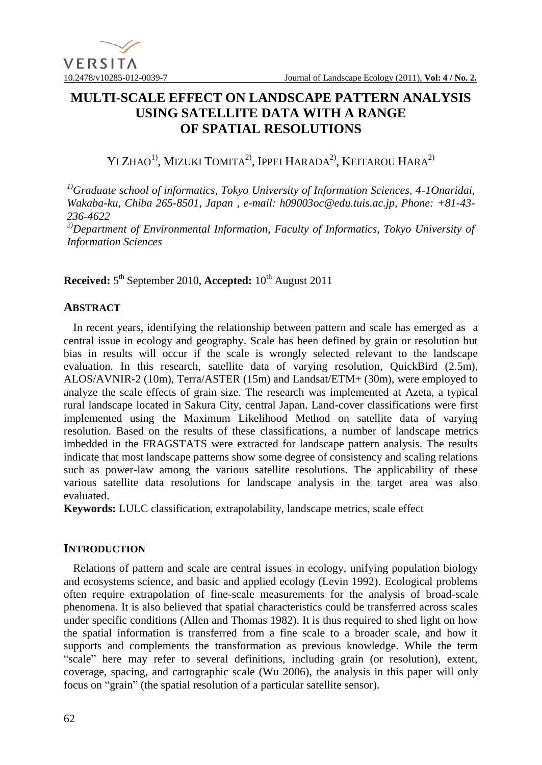

# **MULTI-SCALE EFFECT ON LANDSCAPE PATTERN ANALYSIS USING SATELLITE DATA WITH A RANGE OF SPATIAL RESOLUTIONS**

# YI ZHAO<sup>1)</sup>, Mizuki Tomita<sup>2)</sup>, Ippei Harada<sup>2)</sup>, Keitarou Hara<sup>2)</sup>

*1)Graduate school of informatics, Tokyo University of Information Sciences, 4-1Onaridai, Wakaba-ku, Chiba 265-8501, Japan , e-mail: h09003oc@edu.tuis.ac.jp, Phone: +81-43- 236-4622 2)Department of Environmental Information, Faculty of Informatics, Tokyo University of Information Sciences*

**Received:**  $5^{\text{th}}$  September 2010, **Accepted:**  $10^{\text{th}}$  August 2011

## **ABSTRACT**

In recent years, identifying the relationship between pattern and scale has emerged as a central issue in ecology and geography. Scale has been defined by grain or resolution but bias in results will occur if the scale is wrongly selected relevant to the landscape evaluation. In this research, satellite data of varying resolution, QuickBird (2.5m), ALOS/AVNIR-2 (10m), Terra/ASTER (15m) and Landsat/ETM+ (30m), were employed to analyze the scale effects of grain size. The research was implemented at Azeta, a typical rural landscape located in Sakura City, central Japan. Land-cover classifications were first implemented using the Maximum Likelihood Method on satellite data of varying resolution. Based on the results of these classifications, a number of landscape metrics imbedded in the FRAGSTATS were extracted for landscape pattern analysis. The results indicate that most landscape patterns show some degree of consistency and scaling relations such as power-law among the various satellite resolutions. The applicability of these various satellite data resolutions for landscape analysis in the target area was also evaluated.

**Keywords:** LULC classification, extrapolability, landscape metrics, scale effect

## **INTRODUCTION**

Relations of pattern and scale are central issues in ecology, unifying population biology and ecosystems science, and basic and applied ecology (Levin 1992). Ecological problems often require extrapolation of fine-scale measurements for the analysis of broad-scale phenomena. It is also believed that spatial characteristics could be transferred across scales under specific conditions (Allen and Thomas 1982). It is thus required to shed light on how the spatial information is transferred from a fine scale to a broader scale, and how it supports and complements the transformation as previous knowledge. While the term "scale" here may refer to several definitions, including grain (or resolution), extent, coverage, spacing, and cartographic scale (Wu 2006), the analysis in this paper will only focus on "grain" (the spatial resolution of a particular satellite sensor).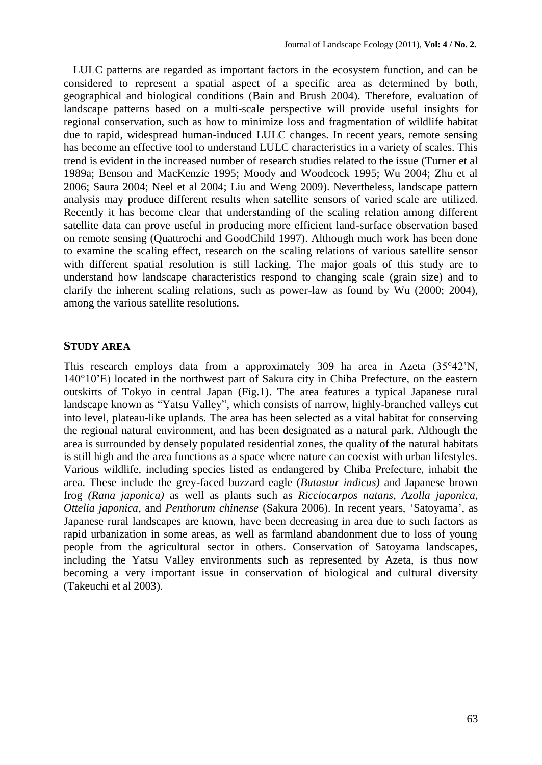LULC patterns are regarded as important factors in the ecosystem function, and can be considered to represent a spatial aspect of a specific area as determined by both, geographical and biological conditions (Bain and Brush 2004). Therefore, evaluation of landscape patterns based on a multi-scale perspective will provide useful insights for regional conservation, such as how to minimize loss and fragmentation of wildlife habitat due to rapid, widespread human-induced LULC changes. In recent years, remote sensing has become an effective tool to understand LULC characteristics in a variety of scales. This trend is evident in the increased number of research studies related to the issue (Turner et al 1989a; Benson and MacKenzie 1995; Moody and Woodcock 1995; Wu 2004; Zhu et al 2006; Saura 2004; Neel et al 2004; Liu and Weng 2009). Nevertheless, landscape pattern analysis may produce different results when satellite sensors of varied scale are utilized. Recently it has become clear that understanding of the scaling relation among different satellite data can prove useful in producing more efficient land-surface observation based on remote sensing (Quattrochi and GoodChild 1997). Although much work has been done to examine the scaling effect, research on the scaling relations of various satellite sensor with different spatial resolution is still lacking. The major goals of this study are to understand how landscape characteristics respond to changing scale (grain size) and to clarify the inherent scaling relations, such as power-law as found by Wu (2000; 2004), among the various satellite resolutions.

#### **STUDY AREA**

This research employs data from a approximately 309 ha area in Azeta (35°42'N, 140°10'E) located in the northwest part of Sakura city in Chiba Prefecture, on the eastern outskirts of Tokyo in central Japan (Fig.1). The area features a typical Japanese rural landscape known as "Yatsu Valley", which consists of narrow, highly-branched valleys cut into level, plateau-like uplands. The area has been selected as a vital habitat for conserving the regional natural environment, and has been designated as a natural park. Although the area is surrounded by densely populated residential zones, the quality of the natural habitats is still high and the area functions as a space where nature can coexist with urban lifestyles. Various wildlife, including species listed as endangered by Chiba Prefecture, inhabit the area. These include the grey-faced buzzard eagle (*Butastur indicus)* and Japanese brown frog *(Rana japonica)* as well as plants such as *Ricciocarpos natans*, *Azolla japonica*, *Ottelia japonica*, and *Penthorum chinense* (Sakura 2006). In recent years, 'Satoyama', as Japanese rural landscapes are known, have been decreasing in area due to such factors as rapid urbanization in some areas, as well as farmland abandonment due to loss of young people from the agricultural sector in others. Conservation of Satoyama landscapes, including the Yatsu Valley environments such as represented by Azeta, is thus now becoming a very important issue in conservation of biological and cultural diversity (Takeuchi et al 2003).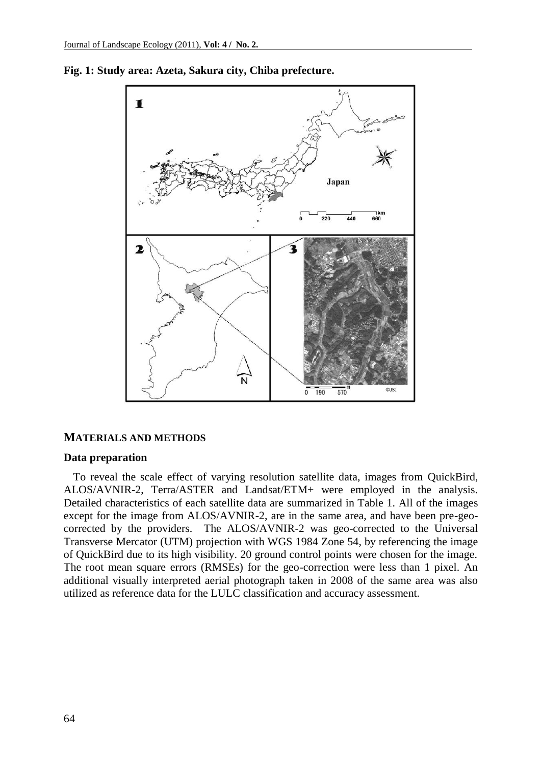

**Fig. 1: Study area: Azeta, Sakura city, Chiba prefecture.**

#### **MATERIALS AND METHODS**

#### **Data preparation**

To reveal the scale effect of varying resolution satellite data, images from QuickBird, ALOS/AVNIR-2, Terra/ASTER and Landsat/ETM+ were employed in the analysis. Detailed characteristics of each satellite data are summarized in Table 1. All of the images except for the image from ALOS/AVNIR-2, are in the same area, and have been pre-geocorrected by the providers. The ALOS/AVNIR-2 was geo-corrected to the Universal Transverse Mercator (UTM) projection with WGS 1984 Zone 54, by referencing the image of QuickBird due to its high visibility. 20 ground control points were chosen for the image. The root mean square errors (RMSEs) for the geo-correction were less than 1 pixel. An additional visually interpreted aerial photograph taken in 2008 of the same area was also utilized as reference data for the LULC classification and accuracy assessment.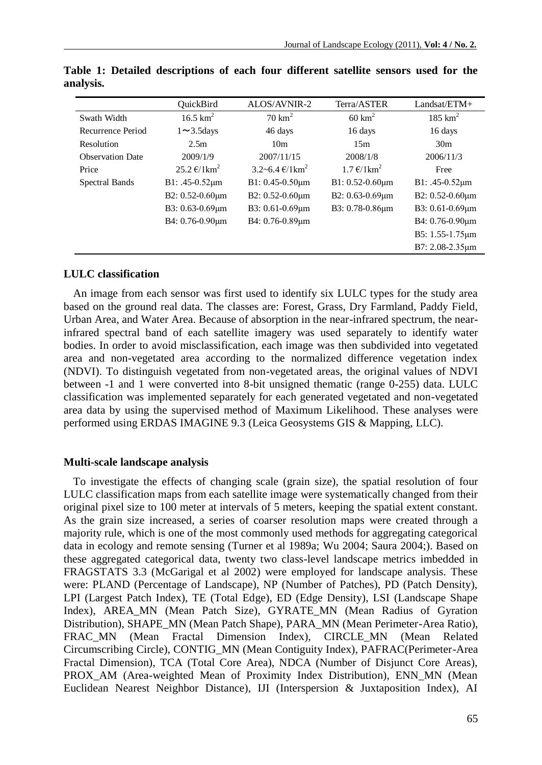|                         | <b>OuickBird</b>               | ALOS/AVNIR-2                              | Terra/ASTER                              | Landsat/ETM+         |
|-------------------------|--------------------------------|-------------------------------------------|------------------------------------------|----------------------|
| Swath Width             | $16.5 \text{ km}^2$            | $70 \text{ km}^2$                         | $60 \text{ km}^2$                        | $185 \text{ km}^2$   |
| Recurrence Period       | $1 \sim 3.5$ days              | 46 days                                   | 16 days                                  | 16 days              |
| Resolution              | 2.5m                           | 10 <sub>m</sub>                           | 15m                                      | 30 <sub>m</sub>      |
| <b>Observation Date</b> | 2009/1/9                       | 2007/11/15                                | 2008/1/8                                 | 2006/11/3            |
| Price                   | $25.2 \text{ €}/1 \text{km}^2$ | $3.2 - 6.4 \text{ } \in / 1 \text{ km}^2$ | $1.7 \text{ } \in \times 1 \text{ km}^2$ | Free                 |
| Spectral Bands          | $B1: .45-0.52 \mu m$           | $B1: 0.45-0.50 \mu m$                     | $B1: 0.52-0.60 \mu m$                    | $B1: .45-0.52 \mu m$ |
|                         | B2: 0.52-0.60um                | B2: $0.52 - 0.60 \mu m$                   | B2: 0.63-0.69um                          | B2: 0.52-0.60um      |
|                         | B3: 0.63-0.69µm                | B3: 0.61-0.69µm                           | B3: 0.78-0.86um                          | B3: 0.61-0.69µm      |
|                         | B4: 0.76-0.90um                | B4: 0.76-0.89um                           |                                          | B4: 0.76-0.90um      |
|                         |                                |                                           |                                          | B5: 1.55-1.75um      |
|                         |                                |                                           |                                          | B7: 2.08-2.35um      |

**Table 1: Detailed descriptions of each four different satellite sensors used for the analysis.**

## **LULC classification**

An image from each sensor was first used to identify six LULC types for the study area based on the ground real data. The classes are: Forest, Grass, Dry Farmland, Paddy Field, Urban Area, and Water Area. Because of absorption in the near-infrared spectrum, the nearinfrared spectral band of each satellite imagery was used separately to identify water bodies. In order to avoid misclassification, each image was then subdivided into vegetated area and non-vegetated area according to the normalized difference vegetation index (NDVI). To distinguish vegetated from non-vegetated areas, the original values of NDVI between -1 and 1 were converted into 8-bit unsigned thematic (range 0-255) data. LULC classification was implemented separately for each generated vegetated and non-vegetated area data by using the supervised method of Maximum Likelihood. These analyses were performed using ERDAS IMAGINE 9.3 (Leica Geosystems GIS & Mapping, LLC).

## **Multi-scale landscape analysis**

To investigate the effects of changing scale (grain size), the spatial resolution of four LULC classification maps from each satellite image were systematically changed from their original pixel size to 100 meter at intervals of 5 meters, keeping the spatial extent constant. As the grain size increased, a series of coarser resolution maps were created through a majority rule, which is one of the most commonly used methods for aggregating categorical data in ecology and remote sensing (Turner et al 1989a; Wu 2004; Saura 2004;). Based on these aggregated categorical data, twenty two class-level landscape metrics imbedded in FRAGSTATS 3.3 (McGarigal et al 2002) were employed for landscape analysis. These were: PLAND (Percentage of Landscape), NP (Number of Patches), PD (Patch Density), LPI (Largest Patch Index), TE (Total Edge), ED (Edge Density), LSI (Landscape Shape Index), AREA\_MN (Mean Patch Size), GYRATE\_MN (Mean Radius of Gyration Distribution), SHAPE\_MN (Mean Patch Shape), PARA\_MN (Mean Perimeter-Area Ratio), FRAC MN (Mean Fractal Dimension Index), CIRCLE MN (Mean Related Circumscribing Circle), CONTIG\_MN (Mean Contiguity Index), PAFRAC(Perimeter-Area Fractal Dimension), TCA (Total Core Area), NDCA (Number of Disjunct Core Areas), PROX\_AM (Area-weighted Mean of Proximity Index Distribution), ENN\_MN (Mean Euclidean Nearest Neighbor Distance), IJI (Interspersion & Juxtaposition Index), AI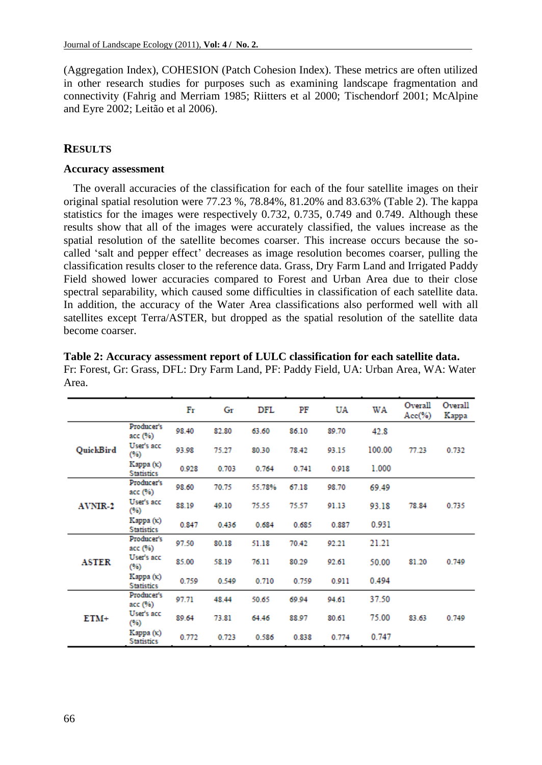(Aggregation Index), COHESION (Patch Cohesion Index). These metrics are often utilized in other research studies for purposes such as examining landscape fragmentation and connectivity (Fahrig and Merriam 1985; Riitters et al 2000; Tischendorf 2001; McAlpine and Eyre 2002; Leitão et al 2006).

## **RESULTS**

## **Accuracy assessment**

The overall accuracies of the classification for each of the four satellite images on their original spatial resolution were 77.23 %, 78.84%, 81.20% and 83.63% (Table 2). The kappa statistics for the images were respectively 0.732, 0.735, 0.749 and 0.749. Although these results show that all of the images were accurately classified, the values increase as the spatial resolution of the satellite becomes coarser. This increase occurs because the socalled 'salt and pepper effect' decreases as image resolution becomes coarser, pulling the classification results closer to the reference data. Grass, Dry Farm Land and Irrigated Paddy Field showed lower accuracies compared to Forest and Urban Area due to their close spectral separability, which caused some difficulties in classification of each satellite data. In addition, the accuracy of the Water Area classifications also performed well with all satellites except Terra/ASTER, but dropped as the spatial resolution of the satellite data become coarser.

|                  |                                       | Fr    | Gr    | DFL    | PF    | UA    | WA     | Overall<br>$Acc(\%)$ | Overall<br>Kappa |
|------------------|---------------------------------------|-------|-------|--------|-------|-------|--------|----------------------|------------------|
| <b>QuickBird</b> | Producer's<br>acc (%)                 | 98.40 | 82.80 | 63.60  | 86.10 | 89.70 | 42.8   |                      |                  |
|                  | User's acc<br>(96)                    | 93.98 | 75.27 | 80.30  | 78.42 | 93.15 | 100.00 | 77.23                | 0.732            |
|                  | Карра $(\kappa)$<br><b>Statistics</b> | 0.928 | 0.703 | 0.764  | 0.741 | 0.918 | 1.000  |                      |                  |
| <b>AVNIR-2</b>   | Producer's<br>acc (%)                 | 98.60 | 70.75 | 55.78% | 67.18 | 98.70 | 69.49  |                      |                  |
|                  | User's acc<br>(96)                    | 88.19 | 49.10 | 75.55  | 75.57 | 91.13 | 93.18  | 78.84                | 0.735            |
|                  | Карра $(\kappa)$<br><b>Statistics</b> | 0.847 | 0.436 | 0.684  | 0.685 | 0.887 | 0.931  |                      |                  |
| <b>ASTER</b>     | Producer's<br>acc (%)                 | 97.50 | 80.18 | 51.18  | 70.42 | 92.21 | 21.21  |                      |                  |
|                  | User's acc<br>(96)                    | 85.00 | 58.19 | 76.11  | 80.29 | 92.61 | 50.00  | 81.20                | 0.749            |
|                  | Карра $(\kappa)$<br><b>Statistics</b> | 0.759 | 0.549 | 0.710  | 0.759 | 0.911 | 0.494  |                      |                  |
| $ETM+$           | Producer's<br>acc (%)                 | 97.71 | 48.44 | 50.65  | 69.94 | 94.61 | 37.50  |                      |                  |
|                  | User's acc<br>(96)                    | 89.64 | 73.81 | 64.46  | 88.97 | 80.61 | 75.00  | 83.63                | 0.749            |
|                  | Карра (к)<br><b>Statistics</b>        | 0.772 | 0.723 | 0.586  | 0.838 | 0.774 | 0.747  |                      |                  |

**Table 2: Accuracy assessment report of LULC classification for each satellite data.**  Fr: Forest, Gr: Grass, DFL: Dry Farm Land, PF: Paddy Field, UA: Urban Area, WA: Water Area.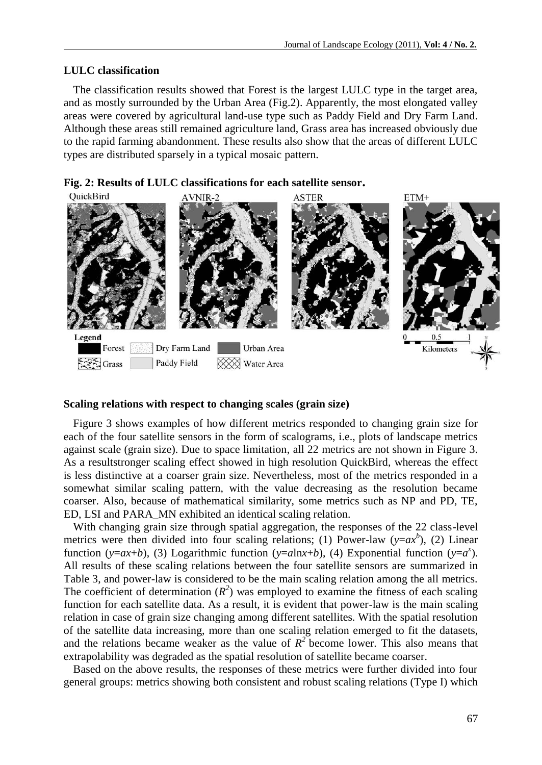## **LULC classification**

The classification results showed that Forest is the largest LULC type in the target area, and as mostly surrounded by the Urban Area (Fig.2). Apparently, the most elongated valley areas were covered by agricultural land-use type such as Paddy Field and Dry Farm Land. Although these areas still remained agriculture land, Grass area has increased obviously due to the rapid farming abandonment. These results also show that the areas of different LULC types are distributed sparsely in a typical mosaic pattern.





#### **Scaling relations with respect to changing scales (grain size)**

Figure 3 shows examples of how different metrics responded to changing grain size for each of the four satellite sensors in the form of scalograms, i.e., plots of landscape metrics against scale (grain size). Due to space limitation, all 22 metrics are not shown in Figure 3. As a resultstronger scaling effect showed in high resolution QuickBird, whereas the effect is less distinctive at a coarser grain size. Nevertheless, most of the metrics responded in a somewhat similar scaling pattern, with the value decreasing as the resolution became coarser. Also, because of mathematical similarity, some metrics such as NP and PD, TE, ED, LSI and PARA\_MN exhibited an identical scaling relation.

With changing grain size through spatial aggregation, the responses of the 22 class-level metrics were then divided into four scaling relations; (1) Power-law ( $y = ax^b$ ), (2) Linear function (*y*=*ax*+*b*), (3) Logarithmic function (*y*=*a*ln*x*+*b*), (4) Exponential function (*y*=*a<sup>x</sup>*). All results of these scaling relations between the four satellite sensors are summarized in Table 3, and power-law is considered to be the main scaling relation among the all metrics. The coefficient of determination  $(R^2)$  was employed to examine the fitness of each scaling function for each satellite data. As a result, it is evident that power-law is the main scaling relation in case of grain size changing among different satellites. With the spatial resolution of the satellite data increasing, more than one scaling relation emerged to fit the datasets, and the relations became weaker as the value of  $R^2$  become lower. This also means that extrapolability was degraded as the spatial resolution of satellite became coarser.

Based on the above results, the responses of these metrics were further divided into four general groups: metrics showing both consistent and robust scaling relations (Type I) which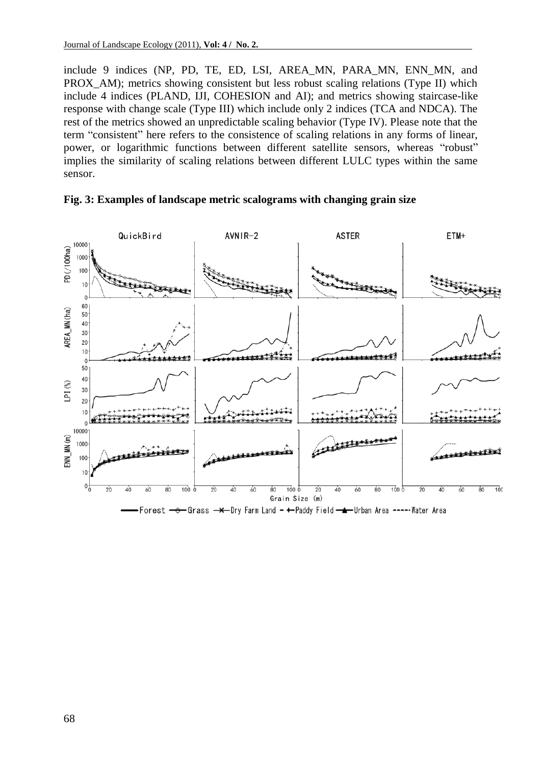include 9 indices (NP, PD, TE, ED, LSI, AREA\_MN, PARA\_MN, ENN\_MN, and PROX AM); metrics showing consistent but less robust scaling relations (Type II) which include 4 indices (PLAND, IJI, COHESION and AI); and metrics showing staircase-like response with change scale (Type III) which include only 2 indices (TCA and NDCA). The rest of the metrics showed an unpredictable scaling behavior (Type IV). Please note that the term "consistent" here refers to the consistence of scaling relations in any forms of linear, power, or logarithmic functions between different satellite sensors, whereas "robust" implies the similarity of scaling relations between different LULC types within the same sensor.



## **Fig. 3: Examples of landscape metric scalograms with changing grain size**

Forest <del>o G</del>rass —<del>x</del> Dry Farm Land - + Paddy Field —**\*** Urban Area ----·Water Area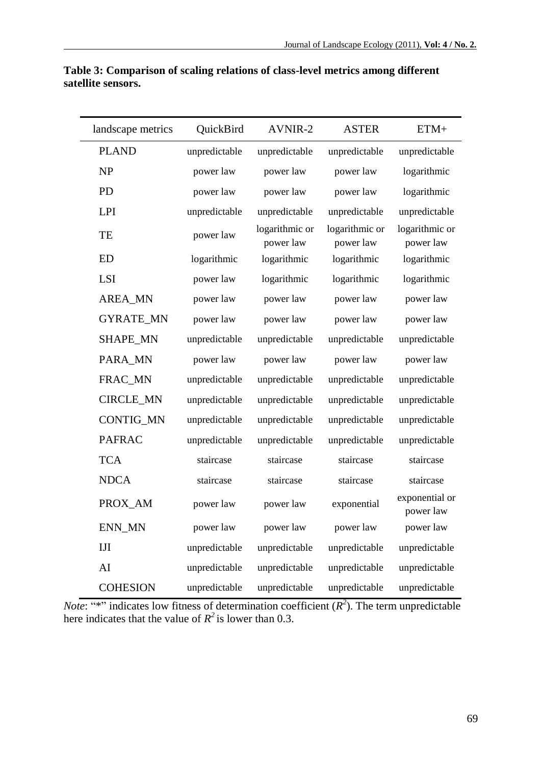| landscape metrics | QuickBird     | <b>AVNIR-2</b>              | <b>ASTER</b>                | ETM+                        |
|-------------------|---------------|-----------------------------|-----------------------------|-----------------------------|
| <b>PLAND</b>      | unpredictable | unpredictable               | unpredictable               | unpredictable               |
| NP                | power law     | power law                   | power law                   | logarithmic                 |
| <b>PD</b>         | power law     | power law                   | power law                   | logarithmic                 |
| LPI               | unpredictable | unpredictable               | unpredictable               | unpredictable               |
| TE                | power law     | logarithmic or<br>power law | logarithmic or<br>power law | logarithmic or<br>power law |
| <b>ED</b>         | logarithmic   | logarithmic                 | logarithmic                 | logarithmic                 |
| <b>LSI</b>        | power law     | logarithmic                 | logarithmic                 | logarithmic                 |
| <b>AREA_MN</b>    | power law     | power law                   | power law                   | power law                   |
| <b>GYRATE MN</b>  | power law     | power law                   | power law                   | power law                   |
| <b>SHAPE MN</b>   | unpredictable | unpredictable               | unpredictable               | unpredictable               |
| PARA MN           | power law     | power law                   | power law                   | power law                   |
| FRAC_MN           | unpredictable | unpredictable               | unpredictable               | unpredictable               |
| <b>CIRCLE_MN</b>  | unpredictable | unpredictable               | unpredictable               | unpredictable               |
| CONTIG_MN         | unpredictable | unpredictable               | unpredictable               | unpredictable               |
| <b>PAFRAC</b>     | unpredictable | unpredictable               | unpredictable               | unpredictable               |
| <b>TCA</b>        | staircase     | staircase                   | staircase                   | staircase                   |
| <b>NDCA</b>       | staircase     | staircase                   | staircase                   | staircase                   |
| PROX AM           | power law     | power law                   | exponential                 | exponential or<br>power law |
| ENN MN            | power law     | power law                   | power law                   | power law                   |
| IJI               | unpredictable | unpredictable               | unpredictable               | unpredictable               |
| AI                | unpredictable | unpredictable               | unpredictable               | unpredictable               |
| <b>COHESION</b>   | unpredictable | unpredictable               | unpredictable               | unpredictable               |

**Table 3: Comparison of scaling relations of class-level metrics among different satellite sensors.**

*Note*: "\*" indicates low fitness of determination coefficient  $(R^2)$ . The term unpredictable here indicates that the value of  $R^2$  is lower than 0.3.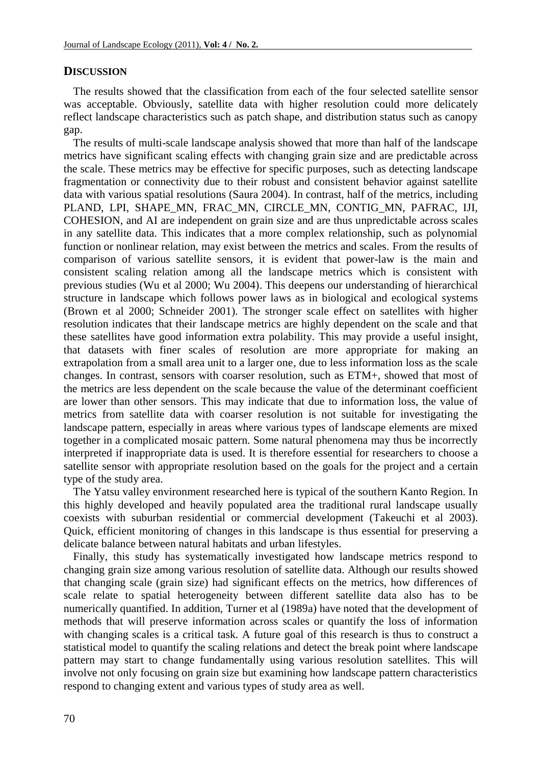## **DISCUSSION**

The results showed that the classification from each of the four selected satellite sensor was acceptable. Obviously, satellite data with higher resolution could more delicately reflect landscape characteristics such as patch shape, and distribution status such as canopy gap.

The results of multi-scale landscape analysis showed that more than half of the landscape metrics have significant scaling effects with changing grain size and are predictable across the scale. These metrics may be effective for specific purposes, such as detecting landscape fragmentation or connectivity due to their robust and consistent behavior against satellite data with various spatial resolutions (Saura 2004). In contrast, half of the metrics, including PLAND, LPI, SHAPE\_MN, FRAC\_MN, CIRCLE\_MN, CONTIG\_MN, PAFRAC, IJI, COHESION, and AI are independent on grain size and are thus unpredictable across scales in any satellite data. This indicates that a more complex relationship, such as polynomial function or nonlinear relation, may exist between the metrics and scales. From the results of comparison of various satellite sensors, it is evident that power-law is the main and consistent scaling relation among all the landscape metrics which is consistent with previous studies (Wu et al 2000; Wu 2004). This deepens our understanding of hierarchical structure in landscape which follows power laws as in biological and ecological systems (Brown et al 2000; Schneider 2001). The stronger scale effect on satellites with higher resolution indicates that their landscape metrics are highly dependent on the scale and that these satellites have good information extra polability. This may provide a useful insight, that datasets with finer scales of resolution are more appropriate for making an extrapolation from a small area unit to a larger one, due to less information loss as the scale changes. In contrast, sensors with coarser resolution, such as ETM+, showed that most of the metrics are less dependent on the scale because the value of the determinant coefficient are lower than other sensors. This may indicate that due to information loss, the value of metrics from satellite data with coarser resolution is not suitable for investigating the landscape pattern, especially in areas where various types of landscape elements are mixed together in a complicated mosaic pattern. Some natural phenomena may thus be incorrectly interpreted if inappropriate data is used. It is therefore essential for researchers to choose a satellite sensor with appropriate resolution based on the goals for the project and a certain type of the study area.

The Yatsu valley environment researched here is typical of the southern Kanto Region. In this highly developed and heavily populated area the traditional rural landscape usually coexists with suburban residential or commercial development (Takeuchi et al 2003). Quick, efficient monitoring of changes in this landscape is thus essential for preserving a delicate balance between natural habitats and urban lifestyles.

Finally, this study has systematically investigated how landscape metrics respond to changing grain size among various resolution of satellite data. Although our results showed that changing scale (grain size) had significant effects on the metrics, how differences of scale relate to spatial heterogeneity between different satellite data also has to be numerically quantified. In addition, Turner et al (1989a) have noted that the development of methods that will preserve information across scales or quantify the loss of information with changing scales is a critical task. A future goal of this research is thus to construct a statistical model to quantify the scaling relations and detect the break point where landscape pattern may start to change fundamentally using various resolution satellites. This will involve not only focusing on grain size but examining how landscape pattern characteristics respond to changing extent and various types of study area as well.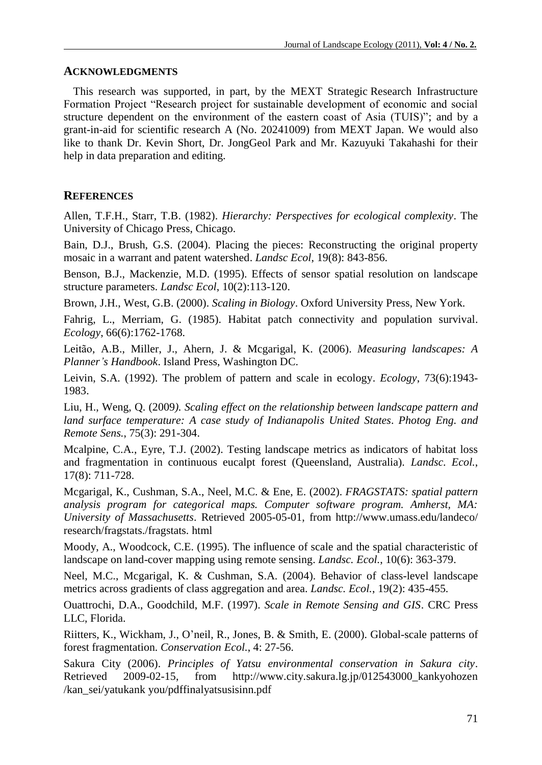## **ACKNOWLEDGMENTS**

This research was supported, in part, by the MEXT Strategic Research Infrastructure Formation Project "Research project for sustainable development of economic and social structure dependent on the environment of the eastern coast of Asia (TUIS)"; and by a grant-in-aid for scientific research A (No. 20241009) from MEXT Japan. We would also like to thank Dr. Kevin Short, Dr. JongGeol Park and Mr. Kazuyuki Takahashi for their help in data preparation and editing.

## **REFERENCES**

Allen, T.F.H., Starr, T.B. (1982). *Hierarchy: Perspectives for ecological complexity*. The University of Chicago Press, Chicago.

Bain, D.J., Brush, G.S. (2004). Placing the pieces: Reconstructing the original property mosaic in a warrant and patent watershed. *Landsc Ecol*, 19(8): 843-856.

Benson, B.J., Mackenzie, M.D. (1995). Effects of sensor spatial resolution on landscape structure parameters. *Landsc Ecol*, 10(2):113-120.

Brown, J.H., West, G.B. (2000). *Scaling in Biology*. Oxford University Press, New York.

Fahrig, L., Merriam, G. (1985). Habitat patch connectivity and population survival. *Ecology*, 66(6):1762-1768.

Leitão, A.B., Miller, J., Ahern, J. & Mcgarigal, K. (2006). *Measuring landscapes: A Planner's Handbook*. Island Press, Washington DC.

Leivin, S.A. (1992). The problem of pattern and scale in ecology. *Ecology*, 73(6):1943- 1983.

Liu, H., Weng, Q. (2009*). Scaling effect on the relationship between landscape pattern and land surface temperature: A case study of Indianapolis United States*. *Photog Eng. and Remote Sens.*, 75(3): 291-304.

Mcalpine, C.A., Eyre, T.J. (2002). Testing landscape metrics as indicators of habitat loss and fragmentation in continuous eucalpt forest (Queensland, Australia). *Landsc. Ecol.*, 17(8): 711-728.

Mcgarigal, K., Cushman, S.A., Neel, M.C. & Ene, E. (2002). *FRAGSTATS: spatial pattern analysis program for categorical maps. Computer software program. Amherst, MA: University of Massachusetts*. Retrieved 2005-05-01, from<http://www.umass.edu/landeco/> research/fragstats./fragstats. html

Moody, A., Woodcock, C.E. (1995). The influence of scale and the spatial characteristic of landscape on land-cover mapping using remote sensing. *Landsc. Ecol.*, 10(6): 363-379.

Neel, M.C., Mcgarigal, K. & Cushman, S.A. (2004). Behavior of class-level landscape metrics across gradients of class aggregation and area. *Landsc. Ecol.*, 19(2): 435-455.

Ouattrochi, D.A., Goodchild, M.F. (1997). *Scale in Remote Sensing and GIS*. CRC Press LLC, Florida.

Riitters, K., Wickham, J., O'neil, R., Jones, B. & Smith, E. (2000). Global-scale patterns of forest fragmentation. *Conservation Ecol.*, 4: 27-56.

Sakura City (2006). *Principles of Yatsu environmental conservation in Sakura city*. Retrieved 2009-02-15, from http://www.city.sakura.lg.jp/012543000\_kankyohozen /kan\_sei/yatukank you/pdffinalyatsusisinn.pdf